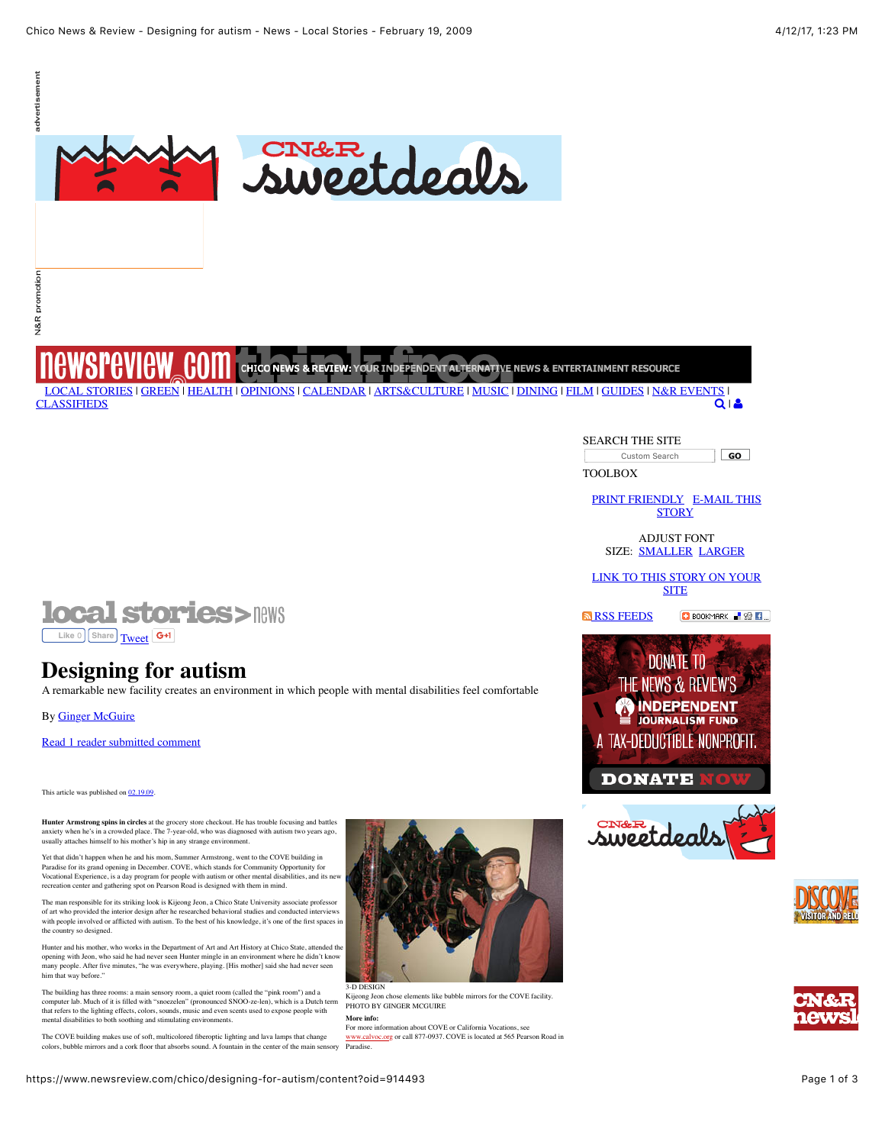

# N&R promotion

CHICO NEWS & REVIEW: YOUR INDEPENDENT ALTERNATIVE NEWS & ENTERTAINMENT RESOURCE h [LOCAL STORIES](https://www.newsreview.com/chico/local_stories/more) | [GREEN](https://www.newsreview.com/chico/all?oid=312487) | [HEALTH](https://www.newsreview.com/chico/all?oid=1953145) | [OPINIONS](https://www.newsreview.com/chico/opinions/more) | [CALENDAR](https://www.newsreview.com/chico/calendar) [|](https://www.newsreview.com/chico/home) [ARTS&CULTURE](https://www.newsreview.com/chico/arts_culture/more) | [MUSIC](https://www.newsreview.com/chico/music/more) | [DINING](https://www.newsreview.com/chico/dining/more) | [FILM](https://www.newsreview.com/chico/film/more) | [GUIDES](https://www.newsreview.com/chico/guides/more) | [N&R EVENTS](https://www.newsreview.com/chico/nr_events/more) | **[CLASSIFIEDS](http://chico.newsreview.com/)** 

#### Custom Search GO |

SEARCH THE SITE

TOOLBOX

[PRINT FRIENDL](https://www.newsreview.com/chico/PrintFriendly?oid=914493)[Y E-MAIL THIS](https://www.newsreview.com/chico/MailThis?oid=914493) **STORY** 

 $Q \mid B$ 

ADJUST FONT SIZE: [SMALLER](javascript:decreaseFontSize();) [LARGER](javascript:increaseFontSize();)

[LINK TO THIS STORY ON YOUR](https://www.newsreview.com/chico/ContentFeed?oid=914493) **SITE** 

**N** [RSS FEEDS](https://www.newsreview.com/chico/RSS.xml) **BOOKMARK R R** 









**local stories>news Like 0 [Share](https://www.facebook.com/sharer/sharer.php?u=https%3A%2F%2Fwww.newsreview.com%2Fchico%2Fdesigning-for-autism%2Fcontent%3Foid%3D914493&display=popup&ref=plugin&src=like) [Tweet](https://twitter.com/share)** 

## **Designing for autism**

A remarkable new facility creates an environment in which people with mental disabilities feel comfortable

By [Ginger McGuire](https://www.newsreview.com/chico/ginger-mcguire/author)

[Read 1 reader submitted comment](#page-1-0)

This article was published on  $02.19.09$ .

**Hunter Armstrong spins in circles** at the grocery store checkout. He has trouble focusing and battles anxiety when he's in a crowded place. The 7-year-old, who was diagnosed with autism two years ago, usually attaches himself to his mother's hip in any strange environment.

Yet that didn't happen when he and his mom, Summer Armstrong, went to the COVE building in Paradise for its grand opening in December. COVE, which stands for Community Opportunity for Vocational Experience, is a day program for people with autism or other mental disabilities, and its new recreation center and gathering spot on Pearson Road is designed with them in mind.

The man responsible for its striking look is Kijeong Jeon, a Chico State University associate professor of art who provided the interior design after he researched behavioral studies and conducted interviews with people involved or afflicted with autism. To the best of his knowledge, it's one of the first spaces in the country so designed.

Hunter and his mother, who works in the Department of Art and Art History at Chico State, attended the opening with Jeon, who said he had never seen Hunter mingle in an environment where he didn't know many people. After five minutes, "he was everywhere, playing. [His mother] said she had never seen him that way before."

**More info:** The building has three rooms: a main sensory room, a quiet room (called the "pink room") and a computer lab. Much of it is filled with "snoezelen" (pronounced SNOO-ze-len), which is a Dutch term that refers to the lighting effects, colors, sounds, music and even scents used to expose people with mental disabilities to both soothing and stimulating environments.



3-D DESIGN ke elements like bubble mirrors for the COVE facility. PHOTO BY GINGER MCGUIRE

For more information about COVE or California Vocations, see calvoc.org or call 877-0937. COVE is located at 565 Pearson Road in Paradise. The COVE building makes use of soft, multicolored fiberoptic lighting and lava lamps that change colors, bubble mirrors and a cork floor that absorbs sound. A fountain in the center of the main sensory

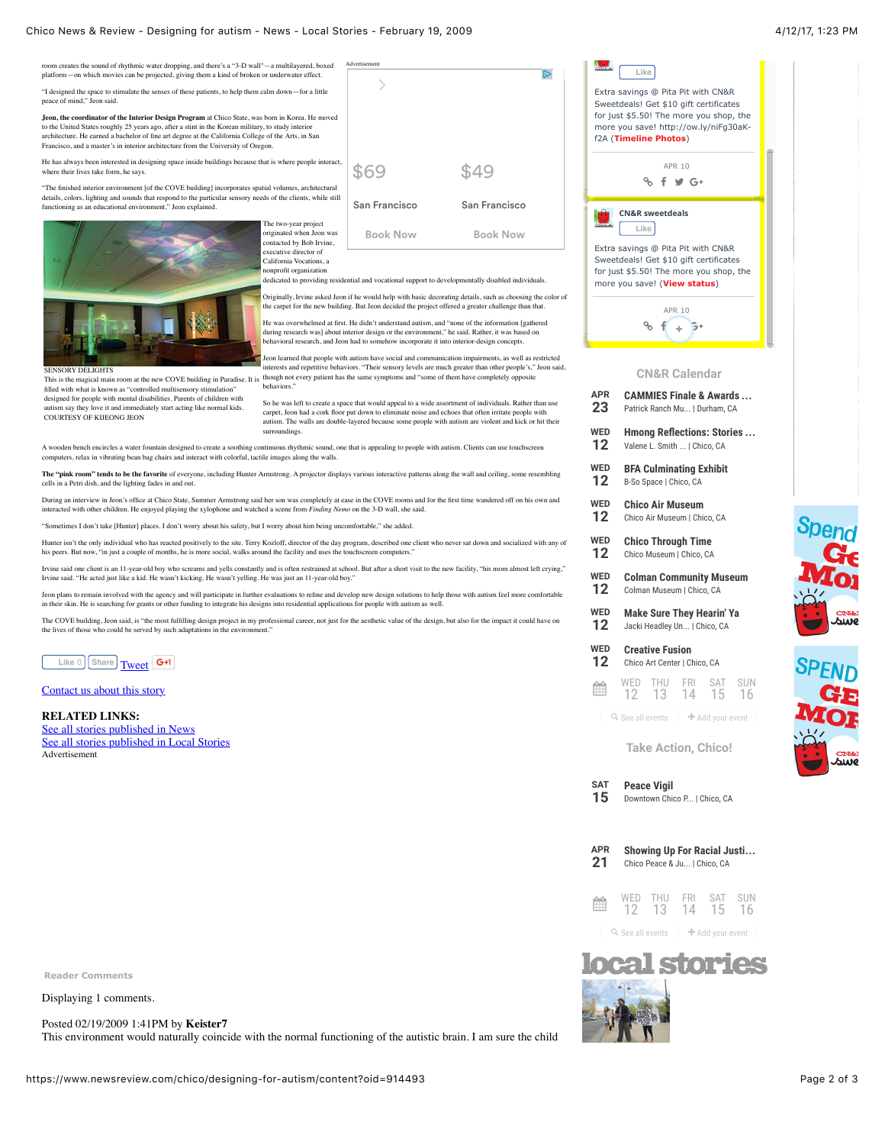Advertisement room creates the sound of rhythmic water dropping, and there's a "3-D wall"—a multilayered, boxed platform—on which movies can be projected, giving them a kind of broken or underwater effect. "I designed the space to stimulate the senses of these patients, to help them calm down—for a little peace of mind," Jeon said. **Jeon, the coordinator of the Interior Design Program** at Chico State, was born in Korea. He moved<br>to the United States roughly 25 years ago, after a stint in the Korean military, to study interior

architecture. He earned a bachelor of fine art degree at the California College of the Arts, in San Francisco, and a master's in interior architecture from the University of Oregon.

He has always been interested in designing space inside buildings because that is where people interact, where their lives take form, he says.

"The finished interior environment [of the COVE building] incorporates spatial volumes, architectural details, colors, lighting and sounds that respond to the particular sensory needs of the clients, while still functioning as an educational environment," Jeon explained.



SENSORY DELIGHTS<br>This is the magical main re

From at the new COVE building in Paradise. It is<br>
"controlled multisensory stimulation" filled with what is known as "controlle designed for people with mental disabilities. Parents of children with autism say they love it and immediately start acting like normal kids. COURTESY OF KIJEONG JEON

ÏЪ \$49 \$69 San Francisco San Francisco **Book Now Book Now**

dedicated to providing residential and vocational support to developmentally disabled individuals.

Originally, Irvine asked Jeon if he would help with basic decorating details, such as choosing the color of the carpet for the new building. But Jeon decided the project offered a greater challenge than that

He was overwhelmed at first. He didn't understand autism, and "none of the information [gathered during research was] about interior design or the environment," he said. Rather, it was based on behavioral research, and Jeon had to somehow incorporate it into interior-design concepts.

Jeon learned that people with autism have social and communication impairments, as well as restricted interests and repetitive behaviors. "Their sensory levels are much greater than other people's," Jeon said, though not every patient has the same symptoms and "some of them have completely opposite **behaviors** 

So he was left to create a space that would appeal to a wide assortment of individuals. Rather than use carpet, Jeon had a cork floor put down to eliminate noise and echoes that often irritate people with autism. The walls are double-layered because some people with autism are violent and kick or hit their surroundings.

A wooden bench encircles a water fountain designed to create a soothing continuous rhythmic sound, one that is appealing to people with autism. Clients can use touchscreen uters, relax in vibrating bean bag chairs and interact with colorful, tactile images along the walls.

**The "pink room" tends to be the favorite** of everyone, including Hunter Armstrong. A projector displays various interactive patterns along the wall and ceiling, some resembling cells in a Petri dish, and the lighting fades in and out.

During an interview in Jeon's office at Chico State, Summer Armstrong said her son was completely at ease in the COVE rooms and for the first time wandered off on his own and interacted with other children. He enjoyed playing the xylophone and watched a scene from *Finding Nemo* on the 3-D wall, she said.

"Sometimes I don't take [Hunter] places. I don't worry about his safety, but I worry about him being uncomfortable," she added.

Hunter isn't the only individual who has reacted positively to the site. Terry Kozloff, director of the day program, described one client who never sat down and socialized with any of his peers. But now, "in just a couple of months, he is more social, walks around the facility and uses the touchscreen computers."

Irvine said one client is an 11-year-old boy who screams and yells constantly and is often restrained at school. But after a short visit to the new facility, "his mom almost left crying," Irvine said. "He acted just like a kid. He wasn't kicking. He wasn't yelling. He was just an 11-year-old boy."

Jeon plans to remain involved with the agency and will participate in further evaluations to efine and develop new design solutions to help those with autism feel more comfortable<br>in their skin. He is searching for grants

The COVE building, Jeon said, is "the most fulfilling design project in my professional career, not just for the aesthetic value of the design, but also for the impact it could have on<br>the lives of those who could be serve



#### [Contact us about this story](https://www.newsreview.com/chico/Contact?content=914493)

#### **RELATED LINKS:**

[See all stories published in News](https://www.newsreview.com/chico/news/all?oid=36562) [See all stories published in Local Stories](https://www.newsreview.com/chico/all?oid=oid%3A92152) Advertisement

<span id="page-1-0"></span>**Reader Comments**

Displaying 1 comments.

Posted 02/19/2009 1:41PM by **Keister7**

This environment would naturally coincide with the normal functioning of the autistic brain. I am sure the child



| <b>APR</b>        | <b>CAMMIES Finale &amp; Awards</b>                 |  |  |
|-------------------|----------------------------------------------------|--|--|
| 23                | Patrick Ranch Mu   Durham, CA                      |  |  |
| WED               | <b>Hmong Reflections: Stories</b>                  |  |  |
| $12 \,$           | Valene L. Smith    Chico, CA                       |  |  |
| WED               | <b>BFA Culminating Exhibit</b>                     |  |  |
| 12                | B-So Space   Chico, CA                             |  |  |
| WED               | <b>Chico Air Museum</b>                            |  |  |
| $12 \overline{ }$ | Chico Air Museum   Chico, CA                       |  |  |
| WFD               | <b>Chico Through Time</b>                          |  |  |
| $12 \,$           | Chico Museum   Chico, CA                           |  |  |
| WED               | <b>Colman Community Museum</b>                     |  |  |
| 12                | Colman Museum   Chico, CA                          |  |  |
| WED               | <b>Make Sure They Hearin' Ya</b>                   |  |  |
| $12 \,$           | Jacki Headley Un   Chico, CA                       |  |  |
| WED               | <b>Creative Fusion</b>                             |  |  |
| $12 \,$           | Chico Art Center   Chico, CA                       |  |  |
|                   | WED<br>THU FRI SAT SUN<br>12 13 14 15<br>-16       |  |  |
|                   | Q. See all events<br>$\blacksquare$ Add your event |  |  |
|                   | <b>Take Action, Chico!</b>                         |  |  |
| <b>SAT</b>        | <b>Peace Vigil</b>                                 |  |  |
| 15                | Downtown Chico P   Chico, CA                       |  |  |



**WE** 

**APR**

**WF** 

**WE 12**

**WF** 

**WE 12**

**WF** 

**WF 12**





**A1110**